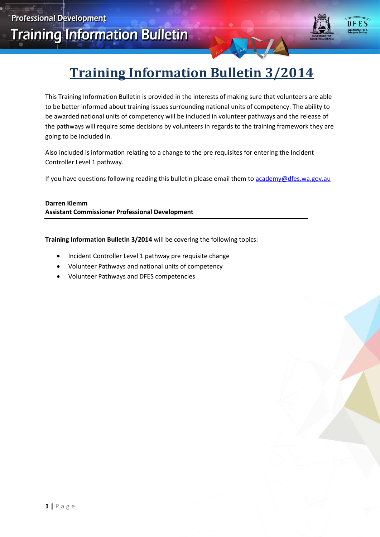

# **Training Information Bulletin 3/2014**

This Training Information Bulletin is provided in the interests of making sure that volunteers are able to be better informed about training issues surrounding national units of competency. The ability to be awarded national units of competency will be included in volunteer pathways and the release of the pathways will require some decisions by volunteers in regards to the training framework they are going to be included in.

Also included is information relating to a change to the pre requisites for entering the Incident Controller Level 1 pathway.

If you have questions following reading this bulletin please email them t[o academy@dfes.wa.gov.au](mailto:academy@dfes.wa.gov.au)

**Darren Klemm Assistant Commissioner Professional Development**

**Training Information Bulletin 3/2014** will be covering the following topics:

- Incident Controller Level 1 pathway pre requisite change
- Volunteer Pathways and national units of competency
- Volunteer Pathways and DFES competencies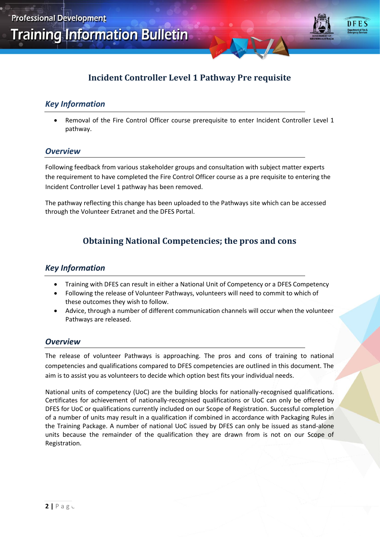

### **Incident Controller Level 1 Pathway Pre requisite**

#### *Key Information*

 Removal of the Fire Control Officer course prerequisite to enter Incident Controller Level 1 pathway.

#### *Overview*

Following feedback from various stakeholder groups and consultation with subject matter experts the requirement to have completed the Fire Control Officer course as a pre requisite to entering the Incident Controller Level 1 pathway has been removed.

The pathway reflecting this change has been uploaded to the Pathways site which can be accessed through the Volunteer Extranet and the DFES Portal.

## **Obtaining National Competencies; the pros and cons**

#### *Key Information*

- Training with DFES can result in either a National Unit of Competency or a DFES Competency
- Following the release of Volunteer Pathways, volunteers will need to commit to which of these outcomes they wish to follow.
- Advice, through a number of different communication channels will occur when the volunteer Pathways are released.

#### *Overview*

The release of volunteer Pathways is approaching. The pros and cons of training to national competencies and qualifications compared to DFES competencies are outlined in this document. The aim is to assist you as volunteers to decide which option best fits your individual needs.

National units of competency (UoC) are the building blocks for nationally-recognised qualifications. Certificates for achievement of nationally-recognised qualifications or UoC can only be offered by DFES for UoC or qualifications currently included on our Scope of Registration. Successful completion of a number of units may result in a qualification if combined in accordance with Packaging Rules in the Training Package. A number of national UoC issued by DFES can only be issued as stand-alone units because the remainder of the qualification they are drawn from is not on our Scope of Registration.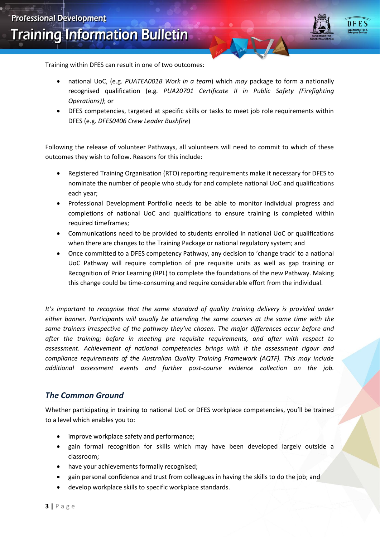

**Training Information Bulletin** 

Training within DFES can result in one of two outcomes:

- national UoC, (e.g. *PUATEA001B Work in a team*) which *may* package to form a nationally recognised qualification (e.g*. PUA20701 Certificate II in Public Safety (Firefighting Operations))*; or
- DFES competencies, targeted at specific skills or tasks to meet job role requirements within DFES (e.g. *DFES0406 Crew Leader Bushfire*)

Following the release of volunteer Pathways, all volunteers will need to commit to which of these outcomes they wish to follow. Reasons for this include:

- Registered Training Organisation (RTO) reporting requirements make it necessary for DFES to nominate the number of people who study for and complete national UoC and qualifications each year;
- Professional Development Portfolio needs to be able to monitor individual progress and completions of national UoC and qualifications to ensure training is completed within required timeframes;
- Communications need to be provided to students enrolled in national UoC or qualifications when there are changes to the Training Package or national regulatory system; and
- Once committed to a DFES competency Pathway, any decision to 'change track' to a national UoC Pathway will require completion of pre requisite units as well as gap training or Recognition of Prior Learning (RPL) to complete the foundations of the new Pathway. Making this change could be time-consuming and require considerable effort from the individual.

*It's important to recognise that the same standard of quality training delivery is provided under either banner. Participants will usually be attending the same courses at the same time with the same trainers irrespective of the pathway they've chosen. The major differences occur before and after the training; before in meeting pre requisite requirements, and after with respect to assessment. Achievement of national competencies brings with it the assessment rigour and compliance requirements of the Australian Quality Training Framework (AQTF). This may include additional assessment events and further post-course evidence collection on the job.*

#### *The Common Ground*

Whether participating in training to national UoC or DFES workplace competencies, you'll be trained to a level which enables you to:

- improve workplace safety and performance:
- gain formal recognition for skills which may have been developed largely outside a classroom;
- have your achievements formally recognised;
- gain personal confidence and trust from colleagues in having the skills to do the job; and
- develop workplace skills to specific workplace standards.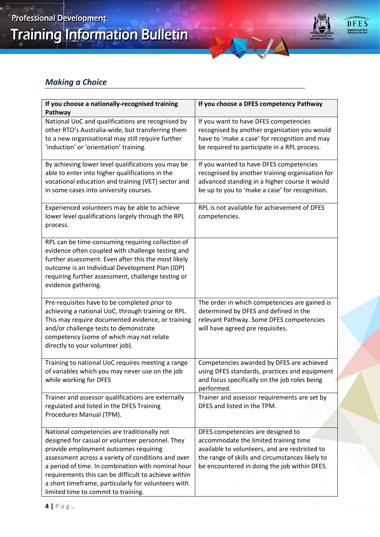**Training Information Bulletin** 



# *Making a Choice*

| If you choose a nationally-recognised training<br>Pathway                                                                                                                                                                                                                                                    | If you choose a DFES competency Pathway                                                                                                                                                                                         |
|--------------------------------------------------------------------------------------------------------------------------------------------------------------------------------------------------------------------------------------------------------------------------------------------------------------|---------------------------------------------------------------------------------------------------------------------------------------------------------------------------------------------------------------------------------|
| National UoC and qualifications are recognised by<br>other RTO's Australia-wide, but transferring them<br>to a new organisational may still require further<br>'induction' or 'orientation' training.                                                                                                        | If you want to have DFES competencies<br>recognised by another organisation you would<br>have to 'make a case' for recognition and may<br>be required to participate in a RPL process.                                          |
| By achieving lower level qualifications you may be<br>able to enter into higher qualifications in the<br>vocational education and training (VET) sector and<br>in some cases into university courses.                                                                                                        | If you wanted to have DFES competencies<br>recognised by another training organisation for<br>advanced standing in a higher course it would<br>be up to you to 'make a case' for recognition.                                   |
| Experienced volunteers may be able to achieve<br>lower level qualifications largely through the RPL<br>process.                                                                                                                                                                                              | RPL is not available for achievement of DFES<br>competencies.                                                                                                                                                                   |
| RPL can be time-consuming requiring collection of<br>evidence often coupled with challenge testing and<br>further assessment. Even after this the most likely<br>outcome is an Individual Development Plan (IDP)<br>requiring further assessment, challenge testing or<br>evidence gathering.                |                                                                                                                                                                                                                                 |
| Pre-requisites have to be completed prior to<br>achieving a national UoC, through training or RPL.<br>This may require documented evidence, or training<br>and/or challenge tests to demonstrate<br>competency (some of which may not relate<br>directly to your volunteer job).                             | The order in which competencies are gained is<br>determined by DFES and defined in the<br>relevant Pathway. Some DFES competencies<br>will have agreed pre requisites.                                                          |
| Training to national UoC requires meeting a range<br>of variables which you may never use on the job<br>while working for DFES                                                                                                                                                                               | Competencies awarded by DFES are achieved<br>using DFES standards, practices and equipment<br>and focus specifically on the job roles being<br>performed.                                                                       |
| Trainer and assessor qualifications are externally<br>regulated and listed in the DFES Training<br>Procedures Manual (TPM).                                                                                                                                                                                  | Trainer and assessor requirements are set by<br>DFES and listed in the TPM.                                                                                                                                                     |
| National competencies are traditionally not<br>designed for casual or volunteer personnel. They<br>provide employment outcomes requiring<br>assessment across a variety of conditions and over<br>a period of time. In combination with nominal hour<br>requirements this can be difficult to achieve within | DFES competencies are designed to<br>accommodate the limited training time<br>available to volunteers, and are restricted to<br>the range of skills and circumstances likely to<br>be encountered in doing the job within DFES. |
| a short timeframe, particularly for volunteers with<br>limited time to commit to training.                                                                                                                                                                                                                   |                                                                                                                                                                                                                                 |